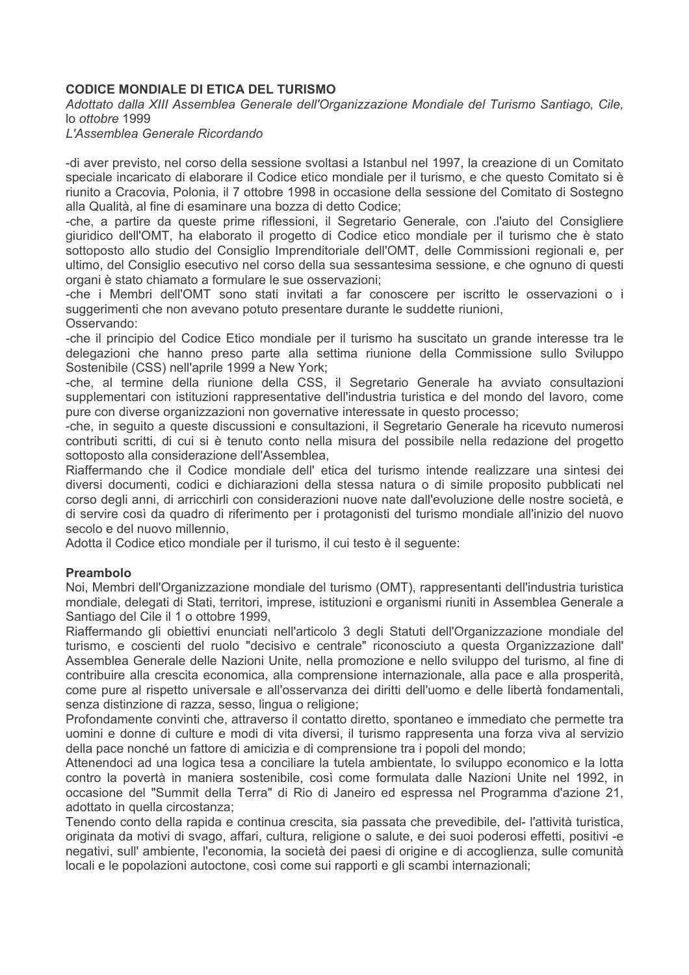# **CODICE MONDIALE DI ETICA DEL TURISMO**

Adottato dalla XIII Assemblea Generale dell'Organizzazione Mondiale del Turismo Santiago, Cile, lo ottobre 1999

L'Assemblea Generale Ricordando

-di aver previsto, nel corso della sessione svoltasi a Istanbul nel 1997, la creazione di un Comitato speciale incaricato di elaborare il Codice etico mondiale per il turismo, e che questo Comitato si è riunito a Cracovia, Polonia, il 7 ottobre 1998 in occasione della sessione del Comitato di Sostegno alla Qualità, al fine di esaminare una bozza di detto Codice;

-che, a partire da queste prime riflessioni, il Segretario Generale, con .l'aiuto del Consigliere giuridico dell'OMT, ha elaborato il progetto di Codice etico mondiale per il turismo che è stato sottoposto allo studio del Consiglio Imprenditoriale dell'OMT, delle Commissioni regionali e, per ultimo, del Consiglio esecutivo nel corso della sua sessantesima sessione, e che ognuno di questi organi è stato chiamato a formulare le sue osservazioni:

-che i Membri dell'OMT sono stati invitati a far conoscere per iscritto le osservazioni o i suggerimenti che non avevano potuto presentare durante le suddette riunioni, Osservando:

-che il principio del Codice Etico mondiale per il turismo ha suscitato un grande interesse tra le delegazioni che hanno preso parte alla settima riunione della Commissione sullo Sviluppo Sostenibile (CSS) nell'aprile 1999 a New York:

-che, al termine della riunione della CSS, il Segretario Generale ha avviato consultazioni supplementari con istituzioni rappresentative dell'industria turistica e del mondo del lavoro, come pure con diverse organizzazioni non governative interessate in questo processo;

-che, in sequito a queste discussioni e consultazioni, il Segretario Generale ha ricevuto numerosi contributi scritti, di cui si è tenuto conto nella misura del possibile nella redazione del progetto sottoposto alla considerazione dell'Assemblea.

Riaffermando che il Codice mondiale dell' etica del turismo intende realizzare una sintesi dei diversi documenti, codici e dichiarazioni della stessa natura o di simile proposito pubblicati nel corso degli anni, di arricchirli con considerazioni nuove nate dall'evoluzione delle nostre società, e di servire così da quadro di riferimento per i protagonisti del turismo mondiale all'inizio del nuovo secolo e del nuovo millennio.

Adotta il Codice etico mondiale per il turismo, il cui testo è il sequente:

## Preambolo

Noi, Membri dell'Organizzazione mondiale del turismo (OMT), rappresentanti dell'industria turistica mondiale, delegati di Stati, territori, imprese, istituzioni e organismi riuniti in Assemblea Generale a Santiago del Cile il 1 o ottobre 1999.

Riaffermando gli obiettivi enunciati nell'articolo 3 degli Statuti dell'Organizzazione mondiale del turismo, e coscienti del ruolo "decisivo e centrale" riconosciuto a questa Organizzazione dall' Assemblea Generale delle Nazioni Unite, nella promozione e nello sviluppo del turismo, al fine di contribuire alla crescita economica, alla comprensione internazionale, alla pace e alla prosperità, come pure al rispetto universale e all'osservanza dei diritti dell'uomo e delle libertà fondamentali, senza distinzione di razza, sesso, lingua o religione:

Profondamente convinti che, attraverso il contatto diretto, spontaneo e immediato che permette tra uomini e donne di culture e modi di vita diversi, il turismo rappresenta una forza viva al servizio della pace nonché un fattore di amicizia e di comprensione tra i popoli del mondo;

Attenendoci ad una logica tesa a conciliare la tutela ambientate, lo sviluppo economico e la lotta contro la povertà in maniera sostenibile, così come formulata dalle Nazioni Unite nel 1992, in occasione del "Summit della Terra" di Rio di Janeiro ed espressa nel Programma d'azione 21. adottato in quella circostanza:

Tenendo conto della rapida e continua crescita, sia passata che prevedibile, del-l'attività turistica. originata da motivi di svago, affari, cultura, religione o salute, e dei suoi poderosi effetti, positivi -e negativi, sull'ambiente, l'economia, la società dei paesi di origine e di accoglienza, sulle comunità locali e le popolazioni autoctone, così come sui rapporti e gli scambi internazionali;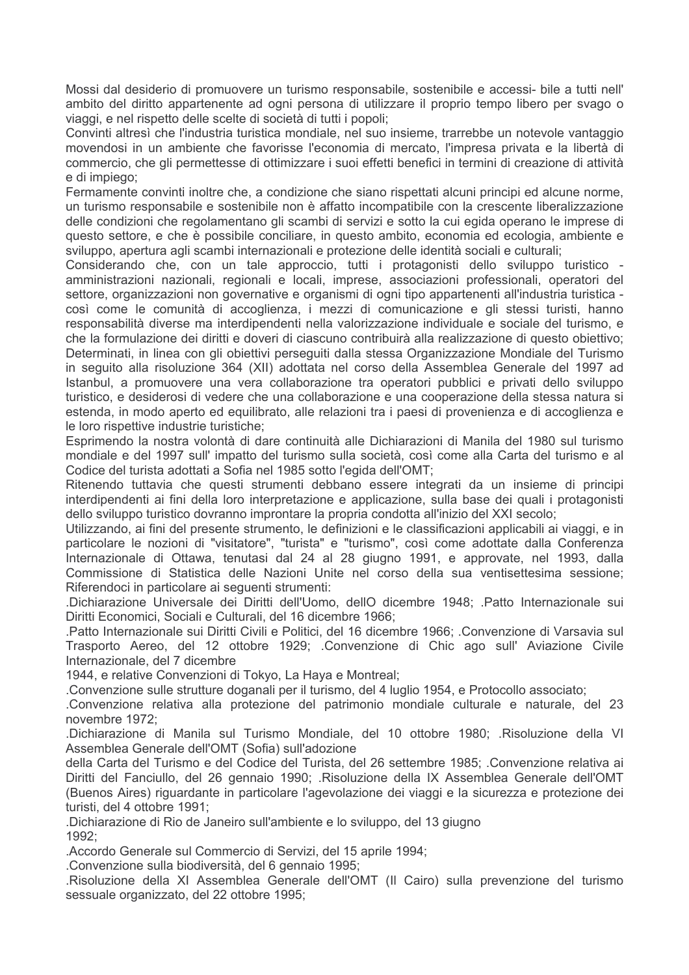Mossi dal desiderio di promuovere un turismo responsabile, sostenibile e accessi- bile a tutti nell' ambito del diritto appartenente ad ogni persona di utilizzare il proprio tempo libero per svago o viaggi, e nel rispetto delle scelte di società di tutti i popoli;

Convinti altresì che l'industria turistica mondiale, nel suo insieme, trarrebbe un notevole vantaggio movendosi in un ambiente che favorisse l'economia di mercato. l'impresa privata e la libertà di commercio, che gli permettesse di ottimizzare i suoi effetti benefici in termini di creazione di attività e di impiego:

Fermamente convinti inoltre che, a condizione che siano rispettati alcuni principi ed alcune norme, un turismo responsabile e sostenibile non è affatto incompatibile con la crescente liberalizzazione delle condizioni che regolamentano gli scambi di servizi e sotto la cui egida operano le imprese di questo settore, e che è possibile conciliare, in questo ambito, economia ed ecologia, ambiente e sviluppo, apertura agli scambi internazionali e protezione delle identità sociali e culturali;

Considerando che, con un tale approccio, tutti i protagonisti dello sviluppo turistico amministrazioni nazionali, regionali e locali, imprese, associazioni professionali, operatori del settore, organizzazioni non governative e organismi di ogni tipo appartenenti all'industria turistica così come le comunità di accoglienza, i mezzi di comunicazione e gli stessi turisti, hanno responsabilità diverse ma interdipendenti nella valorizzazione individuale e sociale del turismo, e che la formulazione dei diritti e doveri di ciascuno contribuirà alla realizzazione di questo obiettivo: Determinati, in linea con gli obiettivi perseguiti dalla stessa Organizzazione Mondiale del Turismo in sequito alla risoluzione 364 (XII) adottata nel corso della Assemblea Generale del 1997 ad Istanbul, a promuovere una vera collaborazione tra operatori pubblici e privati dello sviluppo turistico, e desiderosi di vedere che una collaborazione e una cooperazione della stessa natura si estenda, in modo aperto ed equilibrato, alle relazioni tra i paesi di provenienza e di accoglienza e le loro rispettive industrie turistiche:

Esprimendo la nostra volontà di dare continuità alle Dichiarazioni di Manila del 1980 sul turismo mondiale e del 1997 sull'impatto del turismo sulla società, così come alla Carta del turismo e al Codice del turista adottati a Sofia nel 1985 sotto l'egida dell'OMT;

Ritenendo tuttavia che questi strumenti debbano essere integrati da un insieme di principi interdipendenti ai fini della loro interpretazione e applicazione, sulla base dei quali i protagonisti dello sviluppo turistico dovranno improntare la propria condotta all'inizio del XXI secolo:

Utilizzando, ai fini del presente strumento, le definizioni e le classificazioni applicabili ai viaggi, e in particolare le nozioni di "visitatore", "turista" e "turismo", così come adottate dalla Conferenza Internazionale di Ottawa, tenutasi dal 24 al 28 giugno 1991, e approvate, nel 1993, dalla Commissione di Statistica delle Nazioni Unite nel corso della sua ventisettesima sessione; Riferendoci in particolare ai seguenti strumenti:

.Dichiarazione Universale dei Diritti dell'Uomo, dellO dicembre 1948; .Patto Internazionale sui Diritti Economici. Sociali e Culturali, del 16 dicembre 1966:

Patto Internazionale sui Diritti Civili e Politici, del 16 dicembre 1966: Convenzione di Varsavia sul Trasporto Aereo, del 12 ottobre 1929: Convenzione di Chic ago sull' Aviazione Civile Internazionale, del 7 dicembre

1944, e relative Convenzioni di Tokyo, La Haya e Montreal;

.Convenzione sulle strutture doganali per il turismo, del 4 luglio 1954, e Protocollo associato;

Convenzione relativa alla protezione del patrimonio mondiale culturale e naturale, del 23 novembre 1972:

Dichiarazione di Manila sul Turismo Mondiale, del 10 ottobre 1980; Risoluzione della VI Assemblea Generale dell'OMT (Sofia) sull'adozione

della Carta del Turismo e del Codice del Turista, del 26 settembre 1985; .Convenzione relativa ai Diritti del Fanciullo, del 26 gennaio 1990; Risoluzione della IX Assemblea Generale dell'OMT (Buenos Aires) riguardante in particolare l'agevolazione dei viaggi e la sicurezza e protezione dei turisti, del 4 ottobre 1991:

Dichiarazione di Rio de Janeiro sull'ambiente e lo sviluppo, del 13 giugno  $1992$ 

.Accordo Generale sul Commercio di Servizi, del 15 aprile 1994:

.Convenzione sulla biodiversità, del 6 gennaio 1995;

Risoluzione della XI Assemblea Generale dell'OMT (Il Cairo) sulla prevenzione del turismo sessuale organizzato, del 22 ottobre 1995;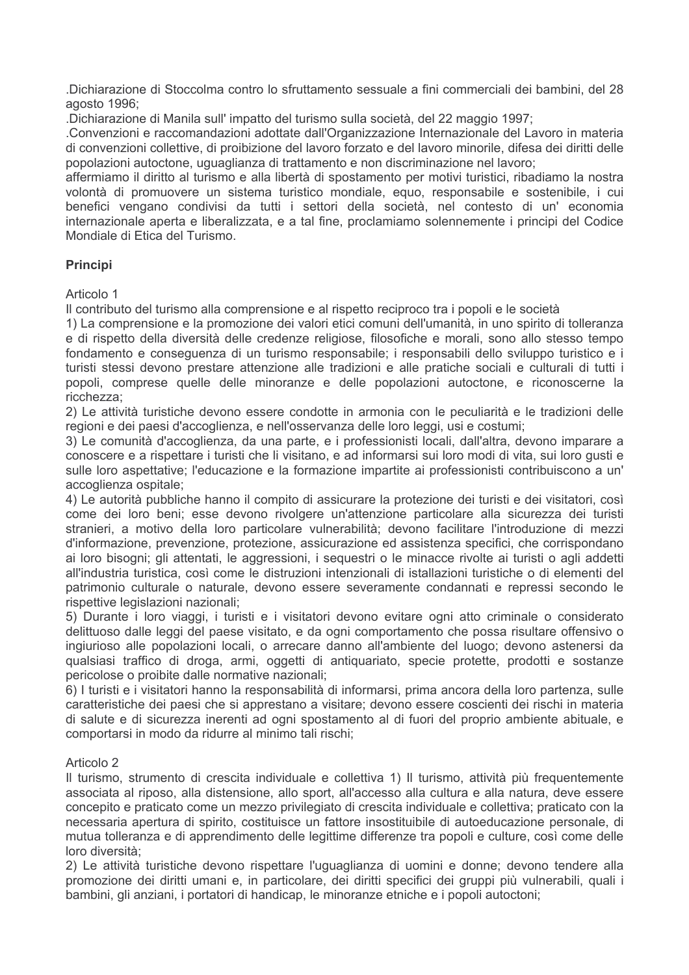Dichiarazione di Stoccolma contro lo sfruttamento sessuale a fini commerciali dei bambini, del 28 agosto 1996:

.Dichiarazione di Manila sull'impatto del turismo sulla società, del 22 maggio 1997;

.Convenzioni e raccomandazioni adottate dall'Organizzazione Internazionale del Lavoro in materia di convenzioni collettive, di proibizione del lavoro forzato e del lavoro minorile, difesa dei diritti delle popolazioni autoctone, uguaglianza di trattamento e non discriminazione nel lavoro;

affermiamo il diritto al turismo e alla libertà di spostamento per motivi turistici, ribadiamo la nostra volontà di promuovere un sistema turistico mondiale, equo, responsabile e sostenibile, i cui benefici vengano condivisi da tutti i settori della società, nel contesto di un' economia internazionale aperta e liberalizzata, e a tal fine, proclamiamo solennemente i principi del Codice Mondiale di Etica del Turismo.

# **Principi**

Articolo 1

Il contributo del turismo alla comprensione e al rispetto reciproco tra i popoli e le società

1) La comprensione e la promozione dei valori etici comuni dell'umanità, in uno spirito di tolleranza e di rispetto della diversità delle credenze religiose, filosofiche e morali, sono allo stesso tempo fondamento e conseguenza di un turismo responsabile; i responsabili dello sviluppo turistico e i turisti stessi devono prestare attenzione alle tradizioni e alle pratiche sociali e culturali di tutti i popoli, comprese quelle delle minoranze e delle popolazioni autoctone, e riconoscerne la ricchezza:

2) Le attività turistiche devono essere condotte in armonia con le peculiarità e le tradizioni delle regioni e dei paesi d'accoglienza, e nell'osservanza delle loro leggi, usi e costumi;

3) Le comunità d'accoglienza, da una parte, e i professionisti locali, dall'altra, devono imparare a conoscere e a rispettare i turisti che li visitano, e ad informarsi sui loro modi di vita, sui loro qusti e sulle loro aspettative; l'educazione e la formazione impartite ai professionisti contribuiscono a un' accoglienza ospitale:

4) Le autorità pubbliche hanno il compito di assicurare la protezione dei turisti e dei visitatori, così come dei loro beni: esse devono rivolgere un'attenzione particolare alla sicurezza dei turisti stranieri, a motivo della loro particolare vulnerabilità; devono facilitare l'introduzione di mezzi d'informazione, prevenzione, protezione, assicurazione ed assistenza specifici, che corrispondano ai loro bisogni; gli attentati, le aggressioni, i sequestri o le minacce rivolte ai turisti o agli addetti all'industria turistica, così come le distruzioni intenzionali di istallazioni turistiche o di elementi del patrimonio culturale o naturale, devono essere severamente condannati e repressi secondo le rispettive legislazioni nazionali;

5) Durante i loro viaggi, i turisti e i visitatori devono evitare ogni atto criminale o considerato delittuoso dalle leggi del paese visitato, e da ogni comportamento che possa risultare offensivo o ingiurioso alle popolazioni locali, o arrecare danno all'ambiente del luogo; devono astenersi da qualsiasi traffico di droga, armi, oggetti di antiquariato, specie protette, prodotti e sostanze pericolose o proibite dalle normative nazionali;

6) I turisti e i visitatori hanno la responsabilità di informarsi, prima ancora della loro partenza, sulle caratteristiche dei paesi che si apprestano a visitare: devono essere coscienti dei rischi in materia di salute e di sicurezza inerenti ad ogni spostamento al di fuori del proprio ambiente abituale, e comportarsi in modo da ridurre al minimo tali rischi;

#### Articolo 2

Il turismo, strumento di crescita individuale e collettiva 1) Il turismo, attività più frequentemente associata al riposo, alla distensione, allo sport, all'accesso alla cultura e alla natura, deve essere concepito e praticato come un mezzo privilegiato di crescita individuale e collettiva; praticato con la necessaria apertura di spirito, costituisce un fattore insostituibile di autoeducazione personale, di mutua tolleranza e di apprendimento delle legittime differenze tra popoli e culture, così come delle loro diversità:

2) Le attività turistiche devono rispettare l'uguaglianza di uomini e donne; devono tendere alla promozione dei diritti umani e, in particolare, dei diritti specifici dei gruppi più vulnerabili, quali i bambini, gli anziani, i portatori di handicap, le minoranze etniche e i popoli autoctoni;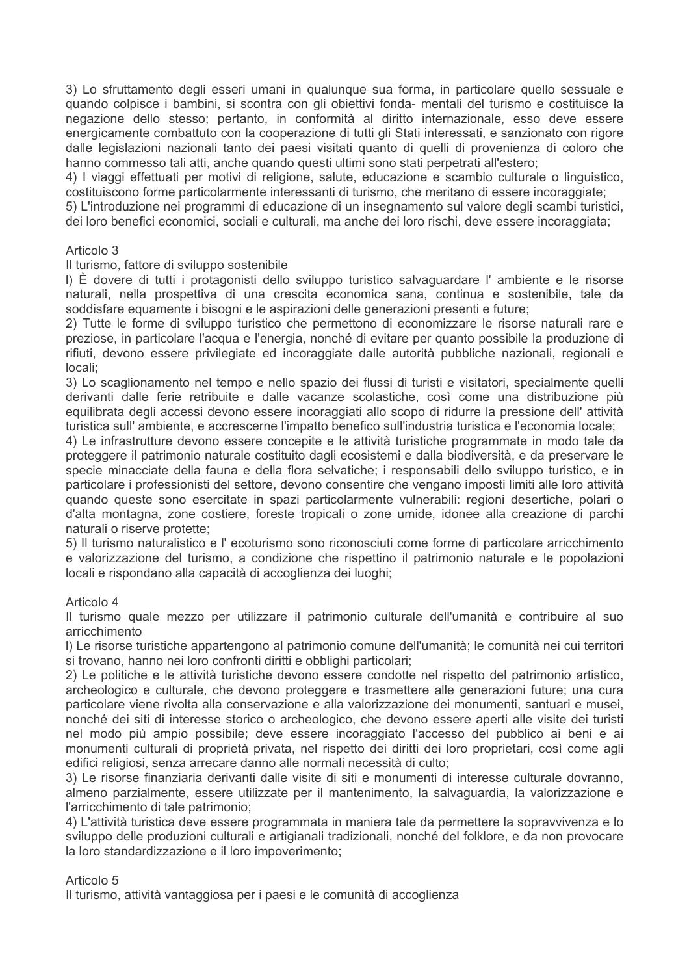3) Lo sfruttamento degli esseri umani in qualunque sua forma, in particolare quello sessuale e guando colpisce i bambini, si scontra con gli obiettivi fonda- mentali del turismo e costituisce la negazione dello stesso; pertanto, in conformità al diritto internazionale, esso deve essere energicamente combattuto con la cooperazione di tutti gli Stati interessati, e sanzionato con rigore dalle legislazioni nazionali tanto dei paesi visitati guanto di quelli di provenienza di coloro che hanno commesso tali atti, anche quando questi ultimi sono stati perpetrati all'estero;

4) I viaggi effettuati per motivi di religione, salute, educazione e scambio culturale o linguistico. costituiscono forme particolarmente interessanti di turismo, che meritano di essere incoraggiate:

5) L'introduzione nei programmi di educazione di un insegnamento sul valore degli scambi turistici, dei loro benefici economici, sociali e culturali, ma anche dei loro rischi, deve essere incoraggiata;

### Articolo 3

### Il turismo, fattore di sviluppo sostenibile

I) È dovere di tutti i protagonisti dello sviluppo turistico salvaguardare l'ambiente e le risorse naturali, nella prospettiva di una crescita economica sana, continua e sostenibile, tale da soddisfare equamente i bisogni e le aspirazioni delle generazioni presenti e future;

2) Tutte le forme di sviluppo turistico che permettono di economizzare le risorse naturali rare e preziose, in particolare l'acqua e l'energia, nonché di evitare per quanto possibile la produzione di rifiuti, devono essere privilegiate ed incoraggiate dalle autorità pubbliche nazionali, regionali e locali:

3) Lo scaglionamento nel tempo e nello spazio dei flussi di turisti e visitatori, specialmente quelli derivanti dalle ferie retribuite e dalle vacanze scolastiche, così come una distribuzione più equilibrata degli accessi devono essere incoraggiati allo scopo di ridurre la pressione dell' attività turistica sull'ambiente, e accrescerne l'impatto benefico sull'industria turistica e l'economia locale;

4) Le infrastrutture devono essere concepite e le attività turistiche programmate in modo tale da proteggere il patrimonio naturale costituito dagli ecosistemi e dalla biodiversità, e da preservare le specie minacciate della fauna e della flora selvatiche; i responsabili dello sviluppo turistico, e in particolare i professionisti del settore, devono consentire che vengano imposti limiti alle loro attività quando queste sono esercitate in spazi particolarmente vulnerabili: regioni desertiche, polari o d'alta montagna, zone costiere, foreste tropicali o zone umide, idonee alla creazione di parchi naturali o riserve protette:

5) Il turismo naturalistico e l'ecoturismo sono riconosciuti come forme di particolare arricchimento e valorizzazione del turismo, a condizione che rispettino il patrimonio naturale e le popolazioni locali e rispondano alla capacità di accoglienza dei luoghi;

## Articolo 4

Il turismo quale mezzo per utilizzare il patrimonio culturale dell'umanità e contribuire al suo arricchimento

I) Le risorse turistiche appartengono al patrimonio comune dell'umanità; le comunità nei cui territori si trovano, hanno nei loro confronti diritti e obblighi particolari;

2) Le politiche e le attività turistiche devono essere condotte nel rispetto del patrimonio artistico, archeologico e culturale, che devono proteggere e trasmettere alle generazioni future; una cura particolare viene rivolta alla conservazione e alla valorizzazione dei monumenti, santuari e musei, nonché dei siti di interesse storico o archeologico, che devono essere aperti alle visite dei turisti nel modo più ampio possibile; deve essere incoraggiato l'accesso del pubblico ai beni e ai monumenti culturali di proprietà privata, nel rispetto dei diritti dei loro proprietari, così come agli edifici religiosi, senza arrecare danno alle normali necessità di culto:

3) Le risorse finanziaria derivanti dalle visite di siti e monumenti di interesse culturale dovranno, almeno parzialmente, essere utilizzate per il mantenimento, la salvaguardia, la valorizzazione e l'arricchimento di tale patrimonio:

4) L'attività turistica deve essere programmata in maniera tale da permettere la sopravvivenza e lo sviluppo delle produzioni culturali e artigianali tradizionali, nonché del folklore, e da non provocare la loro standardizzazione e il loro impoverimento:

#### Articolo 5

Il turismo, attività vantaggiosa per i paesi e le comunità di accoglienza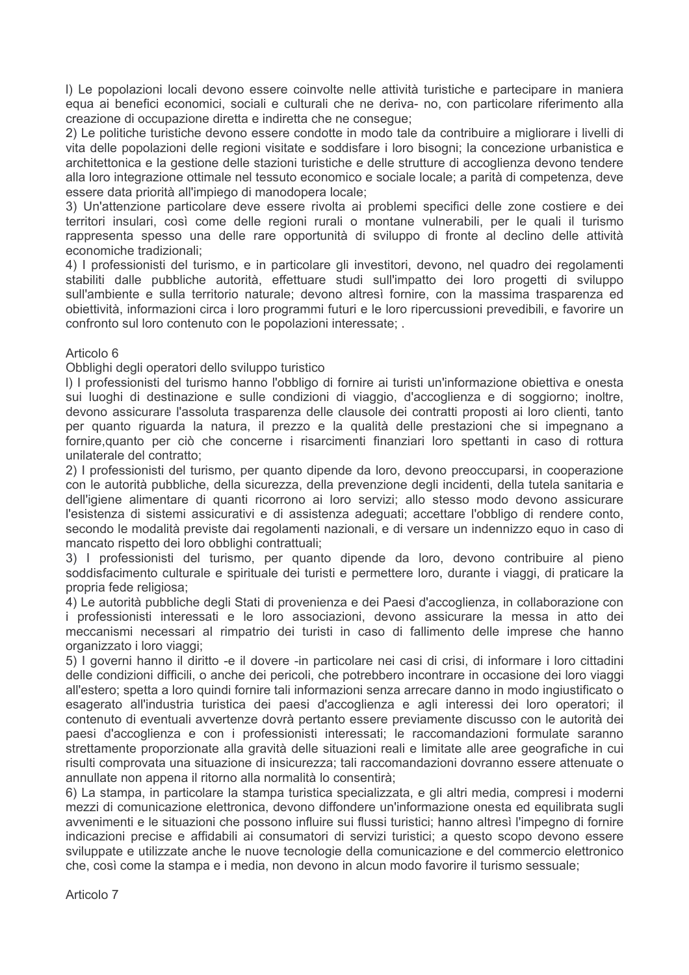I) Le popolazioni locali devono essere coinvolte nelle attività turistiche e partecipare in maniera equa ai benefici economici, sociali e culturali che ne deriva- no, con particolare riferimento alla creazione di occupazione diretta e indiretta che ne consegue;

2) Le politiche turistiche devono essere condotte in modo tale da contribuire a migliorare i livelli di vita delle popolazioni delle regioni visitate e soddisfare i loro bisogni: la concezione urbanistica e architettonica e la gestione delle stazioni turistiche e delle strutture di accoglienza devono tendere alla loro integrazione ottimale nel tessuto economico e sociale locale: a parità di competenza, deve essere data priorità all'impiego di manodopera locale;

3) Un'attenzione particolare deve essere rivolta ai problemi specifici delle zone costiere e dei territori insulari, così come delle regioni rurali o montane vulnerabili, per le quali il turismo rappresenta spesso una delle rare opportunità di sviluppo di fronte al declino delle attività economiche tradizionali:

4) I professionisti del turismo, e in particolare gli investitori, devono, nel quadro dei regolamenti stabiliti dalle pubbliche autorità, effettuare studi sull'impatto dei loro progetti di sviluppo sull'ambiente e sulla territorio naturale; devono altresì fornire, con la massima trasparenza ed obiettività, informazioni circa i loro programmi futuri e le loro ripercussioni prevedibili, e favorire un confronto sul loro contenuto con le popolazioni interessate: .

## Articolo 6

Obblighi degli operatori dello sviluppo turistico

I) I professionisti del turismo hanno l'obbligo di fornire ai turisti un'informazione obiettiva e onesta sui luoghi di destinazione e sulle condizioni di viaggio, d'accoglienza e di soggiorno; inoltre, devono assicurare l'assoluta trasparenza delle clausole dei contratti proposti ai loro clienti, tanto per quanto riguarda la natura, il prezzo e la qualità delle prestazioni che si impegnano a fornire, quanto per ciò che concerne i risarcimenti finanziari loro spettanti in caso di rottura unilaterale del contratto:

2) I professionisti del turismo, per quanto dipende da loro, devono preoccuparsi, in cooperazione con le autorità pubbliche, della sicurezza, della prevenzione degli incidenti, della tutela sanitaria e dell'igiene alimentare di quanti ricorrono ai loro servizi; allo stesso modo devono assicurare l'esistenza di sistemi assicurativi e di assistenza adeguati: accettare l'obbligo di rendere conto. secondo le modalità previste dai regolamenti nazionali, e di versare un indennizzo equo in caso di mancato rispetto dei loro obblighi contrattuali;

3) I professionisti del turismo, per quanto dipende da loro, devono contribuire al pieno soddisfacimento culturale e spirituale dei turisti e permettere loro, durante i viaggi, di praticare la propria fede religiosa;

4) Le autorità pubbliche degli Stati di provenienza e dei Paesi d'accoglienza, in collaborazione con i professionisti interessati e le loro associazioni, devono assicurare la messa in atto dei meccanismi necessari al rimpatrio dei turisti in caso di fallimento delle imprese che hanno organizzato i loro viaggi;

5) I governi hanno il diritto -e il dovere -in particolare nei casi di crisi, di informare i loro cittadini delle condizioni difficili, o anche dei pericoli, che potrebbero incontrare in occasione dei loro viaggi all'estero; spetta a loro quindi fornire tali informazioni senza arrecare danno in modo ingiustificato o esagerato all'industria turistica dei paesi d'accoglienza e agli interessi dei loro operatori: il contenuto di eventuali avvertenze dovrà pertanto essere previamente discusso con le autorità dei paesi d'accoglienza e con i professionisti interessati; le raccomandazioni formulate saranno strettamente proporzionate alla gravità delle situazioni reali e limitate alle aree geografiche in cui risulti comprovata una situazione di insicurezza; tali raccomandazioni dovranno essere attenuate o annullate non appena il ritorno alla normalità lo consentirà;

6) La stampa, in particolare la stampa turistica specializzata, e gli altri media, compresi i moderni mezzi di comunicazione elettronica, devono diffondere un'informazione onesta ed equilibrata sugli avvenimenti e le situazioni che possono influire sui flussi turistici: hanno altresì l'impegno di fornire indicazioni precise e affidabili ai consumatori di servizi turistici; a questo scopo devono essere sviluppate e utilizzate anche le nuove tecnologie della comunicazione e del commercio elettronico che, così come la stampa e i media, non devono in alcun modo favorire il turismo sessuale;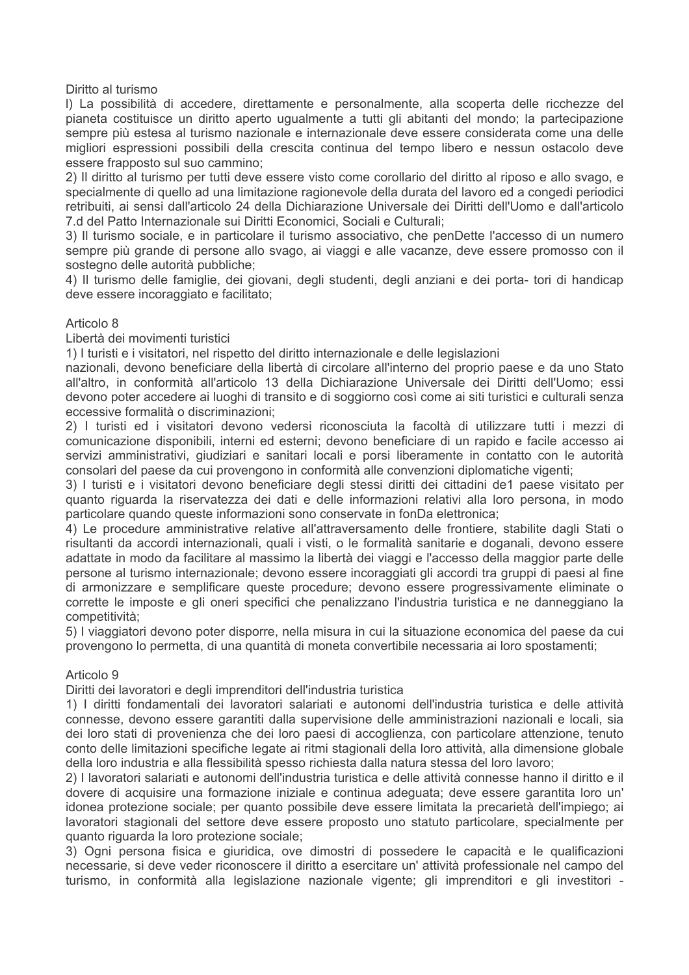Diritto al turismo

I) La possibilità di accedere, direttamente e personalmente, alla scoperta delle ricchezze del pianeta costituisce un diritto aperto ugualmente a tutti gli abitanti del mondo; la partecipazione sempre più estesa al turismo nazionale e internazionale deve essere considerata come una delle migliori espressioni possibili della crescita continua del tempo libero e nessun ostacolo deve essere frapposto sul suo cammino;

2) Il diritto al turismo per tutti deve essere visto come corollario del diritto al riposo e allo svago, e specialmente di quello ad una limitazione ragionevole della durata del lavoro ed a congedi periodici retribuiti, ai sensi dall'articolo 24 della Dichiarazione Universale dei Diritti dell'Uomo e dall'articolo 7.d del Patto Internazionale sui Diritti Economici, Sociali e Culturali;

3) Il turismo sociale, e in particolare il turismo associativo, che penDette l'accesso di un numero sempre più grande di persone allo svago, ai viaggi e alle vacanze, deve essere promosso con il sostegno delle autorità pubbliche;

4) Il turismo delle famiglie, dei giovani, degli studenti, degli anziani e dei porta- tori di handicap deve essere incoraggiato e facilitato;

### Articolo 8

Libertà dei movimenti turistici

1) I turisti e i visitatori, nel rispetto del diritto internazionale e delle legislazioni

nazionali, devono beneficiare della libertà di circolare all'interno del proprio paese e da uno Stato all'altro, in conformità all'articolo 13 della Dichiarazione Universale dei Diritti dell'Uomo; essi devono poter accedere ai luoghi di transito e di soggiorno così come ai siti turistici e culturali senza eccessive formalità o discriminazioni:

2) I turisti ed i visitatori devono vedersi riconosciuta la facoltà di utilizzare tutti i mezzi di comunicazione disponibili, interni ed esterni; devono beneficiare di un rapido e facile accesso ai servizi amministrativi, giudiziari e sanitari locali e porsi liberamente in contatto con le autorità consolari del paese da cui provengono in conformità alle convenzioni diplomatiche vigenti;

3) I turisti e i visitatori devono beneficiare degli stessi diritti dei cittadini de1 paese visitato per quanto riguarda la riservatezza dei dati e delle informazioni relativi alla loro persona, in modo particolare quando queste informazioni sono conservate in fonDa elettronica:

4) Le procedure amministrative relative all'attraversamento delle frontiere, stabilite dagli Stati o risultanti da accordi internazionali, quali i visti, o le formalità sanitarie e doganali, devono essere adattate in modo da facilitare al massimo la libertà dei viaggi e l'accesso della maggior parte delle persone al turismo internazionale; devono essere incoraggiati gli accordi tra gruppi di paesi al fine di armonizzare e semplificare queste procedure; devono essere progressivamente eliminate o corrette le imposte e gli oneri specifici che penalizzano l'industria turistica e ne danneggiano la competitività:

5) I viaggiatori devono poter disporre, nella misura in cui la situazione economica del paese da cui provengono lo permetta, di una quantità di moneta convertibile necessaria ai loro spostamenti;

## Articolo 9

Diritti dei lavoratori e degli imprenditori dell'industria turistica

1) I diritti fondamentali dei lavoratori salariati e autonomi dell'industria turistica e delle attività connesse, devono essere garantiti dalla supervisione delle amministrazioni nazionali e locali, sia dei loro stati di provenienza che dei loro paesi di accoglienza, con particolare attenzione, tenuto conto delle limitazioni specifiche legate ai ritmi stagionali della loro attività, alla dimensione globale della loro industria e alla flessibilità spesso richiesta dalla natura stessa del loro lavoro;

2) I lavoratori salariati e autonomi dell'industria turistica e delle attività connesse hanno il diritto e il dovere di acquisire una formazione iniziale e continua adequata: deve essere garantita loro un' idonea protezione sociale; per quanto possibile deve essere limitata la precarietà dell'impiego; ai lavoratori stagionali del settore deve essere proposto uno statuto particolare, specialmente per quanto riguarda la loro protezione sociale;

3) Ogni persona fisica e giuridica, ove dimostri di possedere le capacità e le qualificazioni necessarie, si deve veder riconoscere il diritto a esercitare un' attività professionale nel campo del turismo, in conformità alla legislazione nazionale vigente; gli imprenditori e gli investitori -